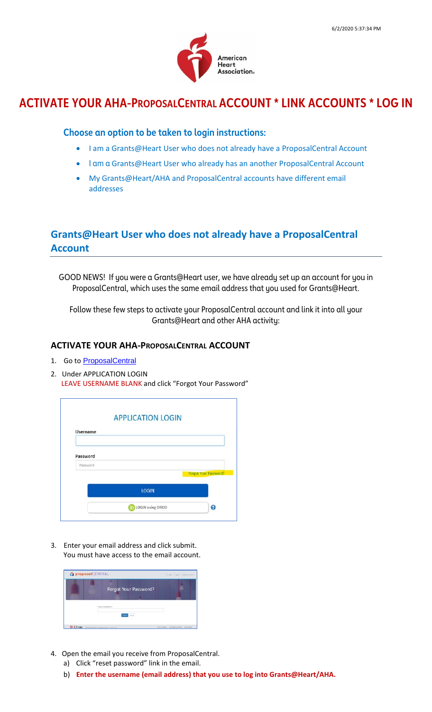

# **ACTIVATE YOUR AHA-PROPOSALCENTRAL ACCOUNT \* LINK ACCOUNTS \* LOG IN**

### **Choose an option to be taken to login instructions:**

- I am a Grants@Heart User [who does not already have a ProposalCentral Account](#page-0-0)
- I am a [Grants@Heart User who already has an another ProposalCentral Account](#page-2-0)
- [My Grants@Heart/AHA and ProposalCentral accounts have different](#page-3-0) email [addresses](#page-3-0)

### <span id="page-0-0"></span>**Grants@Heart User who does not already have a ProposalCentral Account**

GOOD NEWS! If you were a Grants@Heart user, we have already set up an account for you in ProposalCentral, which uses the same email address that you used for Grants@Heart.

Follow these few steps to activate your ProposalCentral account and link it into all your Grants@Heart and other AHA activity:

#### **ACTIVATE YOUR AHA-PROPOSALCENTRAL ACCOUNT**

- 1. Go to [ProposalCentral](https://proposalcentral.com/)
- 2. Under APPLICATION LOGIN LEAVE USERNAME BLANK and click "Forgot Your Password"

|                 | <b>APPLICATION LOGIN</b> |                       |
|-----------------|--------------------------|-----------------------|
| <b>Username</b> |                          |                       |
| Password        |                          |                       |
| Password        |                          |                       |
|                 |                          | Forgot Your Password? |
|                 | <b>LOGIN</b>             |                       |
|                 |                          |                       |

3. Enter your email address and click submit. You must have access to the email account.



- 4. Open the email you receive from ProposalCentral.
	- a) Click "reset password" link in the email.
	- b) **Enter the username (email address) that you use to log into Grants@Heart/AHA.**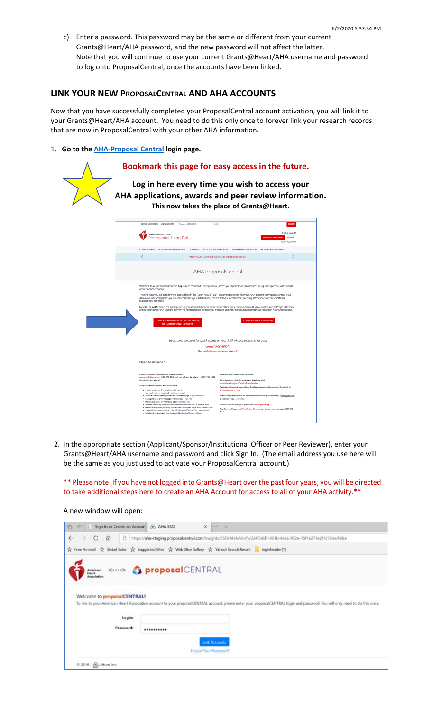c) Enter a password. This password may be the same or different from your current Grants@Heart/AHA password, and the new password will not affect the latter. Note that you will continue to use your current Grants@Heart/AHA username and password to log onto ProposalCentral, once the accounts have been linked.

#### **LINK YOUR NEW PROPOSALCENTRAL AND AHA ACCOUNTS**

Now that you have successfully completed your ProposalCentral account activation, you will link it to your Grants@Heart/AHA account. You need to do this only once to forever link your research records that are now in ProposalCentral with your other AHA information.

#### 1. **Go to the [AHA-Proposal Central](https://professional.heart.org/professional/ResearchPrograms/UCM_506014_AHA-ProposalCentral.jsp) login page.**

### **Bookmark this page for easy access in the future.**

**Log in here every time you wish to access your AHA applications, awards and peer review information. This now takes the place of Grants@Heart.**

| SCIENCE VOLUNTEER WARNING SIGNS<br>Q<br>Search AHA/ASA                                                                                                                                                                                                                                                        |                                                                                                                                                  | <b>DONATE</b>                                                                       |
|---------------------------------------------------------------------------------------------------------------------------------------------------------------------------------------------------------------------------------------------------------------------------------------------------------------|--------------------------------------------------------------------------------------------------------------------------------------------------|-------------------------------------------------------------------------------------|
| American Heart Association.<br>Professional Heart Daily                                                                                                                                                                                                                                                       |                                                                                                                                                  | Hello, Guest!<br><b>BECOME A MEMBER</b><br>SIGN IN<br>FIND MY ACCOUNT:              |
| COMMUNITIES-<br>GUIDELINES & STATEMENTS -<br>JOURNALS                                                                                                                                                                                                                                                         | EDUCATION & MEETINGS - MEMBERSHIP / COUNCILS -                                                                                                   | RESEARCH PROGRAMS-                                                                  |
| く                                                                                                                                                                                                                                                                                                             | Interim FAQs for Communities: COVID-19 and Pediatric CPR (PDF)                                                                                   |                                                                                     |
| AHA ProposalCentral                                                                                                                                                                                                                                                                                           |                                                                                                                                                  |                                                                                     |
| Welcome to AHA ProposalCentral! Log in here to submit a new proposal, access your applications and awards, or log in as sponsor, institutional<br>officer, or peer reviewer.                                                                                                                                  |                                                                                                                                                  |                                                                                     |
| The first time you log in, follow the instructions in the "Login FAQ's (PDF)" document below to link your AHA account to ProposalCentral, Your<br>AHA account encompasses your research (Grants@Heart) and peer review activity, membership, meeting attendance and presentations,<br>publications, and more. |                                                                                                                                                  |                                                                                     |
| New to the AHA? Select the appropriate registration link (peer reviewer or all other roles). Sign up for an AHA account to access ProposalCentral<br>and all your other AHA account activity. All information is confidential and used solely for communication with the American Heart Association.          |                                                                                                                                                  |                                                                                     |
| <b>LOGIN AS AN INVESTIGATOR, SPONSOR.</b><br>OR INSTITUTIONAL OFFICER                                                                                                                                                                                                                                         | <b>LOGIN AS PEER REVIEWER</b>                                                                                                                    |                                                                                     |
| Bookmark this page for quick access to your AHA ProposalCentral account                                                                                                                                                                                                                                       |                                                                                                                                                  |                                                                                     |
| Login FAO's (PDF)                                                                                                                                                                                                                                                                                             |                                                                                                                                                  |                                                                                     |
|                                                                                                                                                                                                                                                                                                               | Need help finding your username or password?                                                                                                     |                                                                                     |
| Need Assistance?                                                                                                                                                                                                                                                                                              |                                                                                                                                                  |                                                                                     |
| Contact ProposalCentral for login or technical help<br>pcsupport@altum.com or (800) 875-2562 (toll-free U.S. and Canada) or +1 (703) 964-5840<br>(direct dial international)                                                                                                                                  | American Heart Association Resources:<br>Award program eligibility details and deadlines: Visit                                                  |                                                                                     |
| Sample issues for ProposalCentral assistance:                                                                                                                                                                                                                                                                 | professional.heart.org/FundingOpportunities                                                                                                      |                                                                                     |
| · I cannot access my ProposalCentral account.                                                                                                                                                                                                                                                                 | Navigation through a proposal and details about required documents: Consult AHA<br><b>Annicstion Instructions</b>                                |                                                                                     |
| . I cannot find the proposal/LOI that I just started.                                                                                                                                                                                                                                                         |                                                                                                                                                  | Application questions or AHA Professional Partnership/Membership:   gpply@heart.org |
| . I receive an error message when I try to access a page in my application.<br>. I keep getting an error message when I upload a PDF file.<br>. The link to provide my reference letter does not work.                                                                                                        | ar (214) 360-6107 (option 1)                                                                                                                     |                                                                                     |
| . I need to update my institution and contact information but I'm not sure how.<br>. The institution that I put in my profile is not a confirmed institution. What do I do?                                                                                                                                   | Awards: Please submit your question to awards@heart.org<br>Peer Review: Please email Peer Review@heart.org or leave a voice message at (214)360- |                                                                                     |

2. In the appropriate section (Applicant/Sponsor/Institutional Officer or Peer Reviewer), enter your Grants@Heart/AHA username and password and click Sign In. (The email address you use here will be the same as you just used to activate your ProposalCentral account.)

\*\* Please note: If you have not logged into Grants@Heart over the past four years, you will be directed to take additional steps here to create an AHA Account for access to all of your AHA activity.\*\*

A new window will open:

| 启<br>Sign In or Create an Accour<br>吧             | & AHA SSO<br>$x + \infty$                                                                                                                                                     |
|---------------------------------------------------|-------------------------------------------------------------------------------------------------------------------------------------------------------------------------------|
| ಲ<br>Β<br>$\rightarrow$<br>$\omega$<br>←          | https://aha-staging.proposalcentral.com/insights/SSO/AHA/Verify/224f3dd7-961b-4e6a-952e-15f1e271e211/False/False                                                              |
|                                                   | tree Hotmail tre Siebel Sales tre Suggested Sites tre Web Slice Gallery tre Yahoo! Search Result   loginheader[1]                                                             |
| (1111)<br>Anwican<br><b>Meart</b><br>Association. | proposalCENTRAL                                                                                                                                                               |
| Welcome to proposalCENTRAL!                       | To link to your American Heart Association account to your proposalCENTRAL account, please enter your proposalCENTRAL login and password. You will only need to do this once. |
| Login:                                            |                                                                                                                                                                               |
| Password:                                         |                                                                                                                                                                               |
|                                                   | <b>Link Accounts</b>                                                                                                                                                          |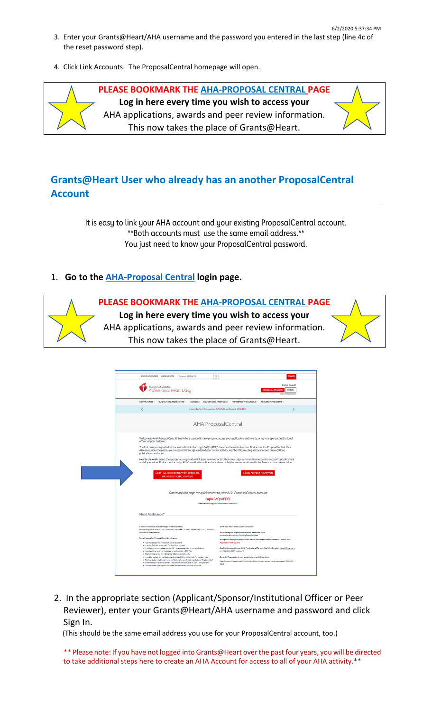- 6/2/2020 5:37:34 PM 3. Enter your Grants@Heart/AHA username and the password you entered in the last step (line 4c of the reset password step).
- 4. Click Link Accounts. The ProposalCentral homepage will open.

**PLEASE BOOKMARK THE [AHA-PROPOSAL CENTRAL](https://professional.heart.org/professional/ResearchPrograms/UCM_506014_AHA-ProposalCentral.jsp) PAGE Log in here every time you wish to access your**  AHA applications, awards and peer review information. This now takes the place of Grants@Heart.

## <span id="page-2-0"></span>**Grants@Heart User who already has an another ProposalCentral Account**

It is easy to link your AHA account and your existing ProposalCentral account. \*\*Both accounts must use the same email address.\*\* You just need to know your ProposalCentral password.

### 1. **Go to the [AHA-Proposal Central](https://professional.heart.org/professional/ResearchPrograms/UCM_506014_AHA-ProposalCentral.jsp) login page.**



| SCIENCE VOLUNTEER WARNING SIGNS                                                                                                                                                                                                                                                                               |                                                                                                                                                                                                                                                                 | Search AHA/ASA |  | Q                                                                       |                                                                                                       |                               |                                                                                     |                                   | <b>DONATE</b> |
|---------------------------------------------------------------------------------------------------------------------------------------------------------------------------------------------------------------------------------------------------------------------------------------------------------------|-----------------------------------------------------------------------------------------------------------------------------------------------------------------------------------------------------------------------------------------------------------------|----------------|--|-------------------------------------------------------------------------|-------------------------------------------------------------------------------------------------------|-------------------------------|-------------------------------------------------------------------------------------|-----------------------------------|---------------|
|                                                                                                                                                                                                                                                                                                               | American Heart Association.<br>ofessional Heart Dailu                                                                                                                                                                                                           |                |  |                                                                         |                                                                                                       |                               | <b>BECOME A MEMBER</b>                                                              | Hello, Guest!<br>FIND MY ACCOUNTS | SIGN IN       |
| COMMUNITIES.                                                                                                                                                                                                                                                                                                  | GUIDELINES & STATEMENTS -                                                                                                                                                                                                                                       |                |  | JOURNALS EDUCATION & MEETINGS - MEMBERSHIP/COUNCILS -                   |                                                                                                       |                               | RESEARCH PROGRAMS.                                                                  |                                   |               |
|                                                                                                                                                                                                                                                                                                               |                                                                                                                                                                                                                                                                 |                |  | Interim FAQs for Communities: COVID-19 and Pediatric CPR (PDF)          |                                                                                                       |                               |                                                                                     |                                   |               |
|                                                                                                                                                                                                                                                                                                               |                                                                                                                                                                                                                                                                 |                |  | AHA ProposalCentral                                                     |                                                                                                       |                               |                                                                                     |                                   |               |
| Welcome to AHA ProposalCentral! Log in here to submit a new proposal, access your applications and awards, or log in as sponsor, institutional<br>officer, or peer reviewer.                                                                                                                                  |                                                                                                                                                                                                                                                                 |                |  |                                                                         |                                                                                                       |                               |                                                                                     |                                   |               |
| The first time you log in, follow the instructions in the "Login FAQ's (PDF)" document below to link your AHA account to ProposalCentral. Your<br>AHA account encompasses your research (Grants@Heart) and peer review activity, membership, meeting attendance and presentations,<br>publications, and more. |                                                                                                                                                                                                                                                                 |                |  |                                                                         |                                                                                                       |                               |                                                                                     |                                   |               |
| New to the AHA? Select the appropriate registration link (peer reviewer or all other roles). Sign up for an AHA account to access ProposalCentral<br>and all your other AHA account activity. All information is confidential and used solely for communication with the American Heart Association.          |                                                                                                                                                                                                                                                                 |                |  |                                                                         |                                                                                                       |                               |                                                                                     |                                   |               |
|                                                                                                                                                                                                                                                                                                               | LOGIN AS AN INVESTIGATOR, SPONSOR,<br>OR INSTITUTIONAL OFFICER                                                                                                                                                                                                  |                |  |                                                                         |                                                                                                       | <b>LOGIN AS PEER REVIEWER</b> |                                                                                     |                                   |               |
|                                                                                                                                                                                                                                                                                                               |                                                                                                                                                                                                                                                                 |                |  |                                                                         |                                                                                                       |                               |                                                                                     |                                   |               |
|                                                                                                                                                                                                                                                                                                               |                                                                                                                                                                                                                                                                 |                |  | Bookmark this page for quick access to your AHA ProposalCentral account |                                                                                                       |                               |                                                                                     |                                   |               |
|                                                                                                                                                                                                                                                                                                               |                                                                                                                                                                                                                                                                 |                |  | Login FAQ's (PDF)<br>Need help finding your username or password?       |                                                                                                       |                               |                                                                                     |                                   |               |
| Need Assistance?                                                                                                                                                                                                                                                                                              |                                                                                                                                                                                                                                                                 |                |  |                                                                         |                                                                                                       |                               |                                                                                     |                                   |               |
| Contact ProposalCentral for login or technical help<br>pcsupport@altum.com or (800) 875-2562 (toll-free U.S. and Canada) or +1 (703) 964-5840                                                                                                                                                                 |                                                                                                                                                                                                                                                                 |                |  |                                                                         | American Heart Association Resources:                                                                 |                               |                                                                                     |                                   |               |
| (direct dial international)                                                                                                                                                                                                                                                                                   |                                                                                                                                                                                                                                                                 |                |  |                                                                         | Award program eligibility details and deadlines: Visit<br>professional.heart.org/FundingOpportunities |                               |                                                                                     |                                   |               |
| Sample issues for ProposalCentral assistance:                                                                                                                                                                                                                                                                 | · I cannot access my Proposal Central account.                                                                                                                                                                                                                  |                |  |                                                                         | <b>Application Instructions</b>                                                                       |                               | Navieation through a proposal and details about required documents: Consult AHA     |                                   |               |
|                                                                                                                                                                                                                                                                                                               | . I cannot find the proposal/LOI that I just started.<br>. I receive an error message when I try to access a page in my application.<br>. I keep getting an error message when I upload a PDF file.<br>. The link to provide my reference letter does not work. |                |  |                                                                         | or (214) 360-6107 (option 1)                                                                          |                               | Application questions or AHA Professional Partnership/Membership:   goply@heart.org |                                   |               |

2. In the appropriate section (Applicant/Sponsor/Institutional Officer or Peer Reviewer), enter your Grants@Heart/AHA username and password and click Sign In.

(This should be the same email address you use for your ProposalCentral account, too.)

\*\* Please note: If you have not logged into Grants@Heart over the past four years, you will be directed to take additional steps here to create an AHA Account for access to all of your AHA activity.\*\*